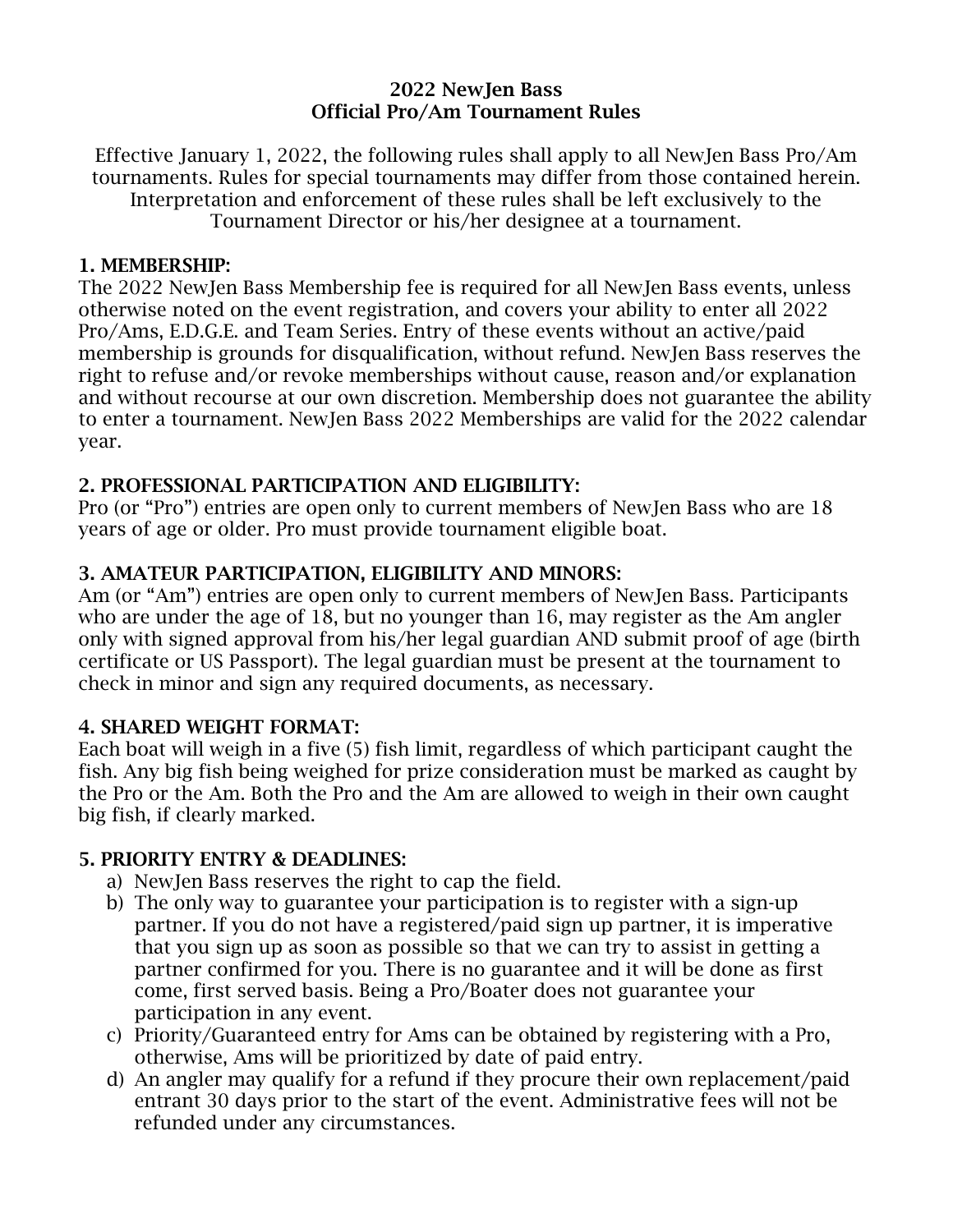#### 2022 NewJen Bass Official Pro/Am Tournament Rules

Effective January 1, 2022, the following rules shall apply to all NewJen Bass Pro/Am tournaments. Rules for special tournaments may differ from those contained herein. Interpretation and enforcement of these rules shall be left exclusively to the Tournament Director or his/her designee at a tournament.

#### 1. MEMBERSHIP:

The 2022 NewJen Bass Membership fee is required for all NewJen Bass events, unless otherwise noted on the event registration, and covers your ability to enter all 2022 Pro/Ams, E.D.G.E. and Team Series. Entry of these events without an active/paid membership is grounds for disqualification, without refund. NewJen Bass reserves the right to refuse and/or revoke memberships without cause, reason and/or explanation and without recourse at our own discretion. Membership does not guarantee the ability to enter a tournament. NewJen Bass 2022 Memberships are valid for the 2022 calendar year.

### 2. PROFESSIONAL PARTICIPATION AND ELIGIBILITY:

Pro (or "Pro") entries are open only to current members of NewJen Bass who are 18 years of age or older. Pro must provide tournament eligible boat.

## 3. AMATEUR PARTICIPATION, ELIGIBILITY AND MINORS:

Am (or "Am") entries are open only to current members of NewJen Bass. Participants who are under the age of 18, but no younger than 16, may register as the Am angler only with signed approval from his/her legal guardian AND submit proof of age (birth certificate or US Passport). The legal guardian must be present at the tournament to check in minor and sign any required documents, as necessary.

#### 4. SHARED WEIGHT FORMAT:

Each boat will weigh in a five (5) fish limit, regardless of which participant caught the fish. Any big fish being weighed for prize consideration must be marked as caught by the Pro or the Am. Both the Pro and the Am are allowed to weigh in their own caught big fish, if clearly marked.

#### 5. PRIORITY ENTRY & DEADLINES:

- a) NewJen Bass reserves the right to cap the field.
- b) The only way to guarantee your participation is to register with a sign-up partner. If you do not have a registered/paid sign up partner, it is imperative that you sign up as soon as possible so that we can try to assist in getting a partner confirmed for you. There is no guarantee and it will be done as first come, first served basis. Being a Pro/Boater does not guarantee your participation in any event.
- c) Priority/Guaranteed entry for Ams can be obtained by registering with a Pro, otherwise, Ams will be prioritized by date of paid entry.
- d) An angler may qualify for a refund if they procure their own replacement/paid entrant 30 days prior to the start of the event. Administrative fees will not be refunded under any circumstances.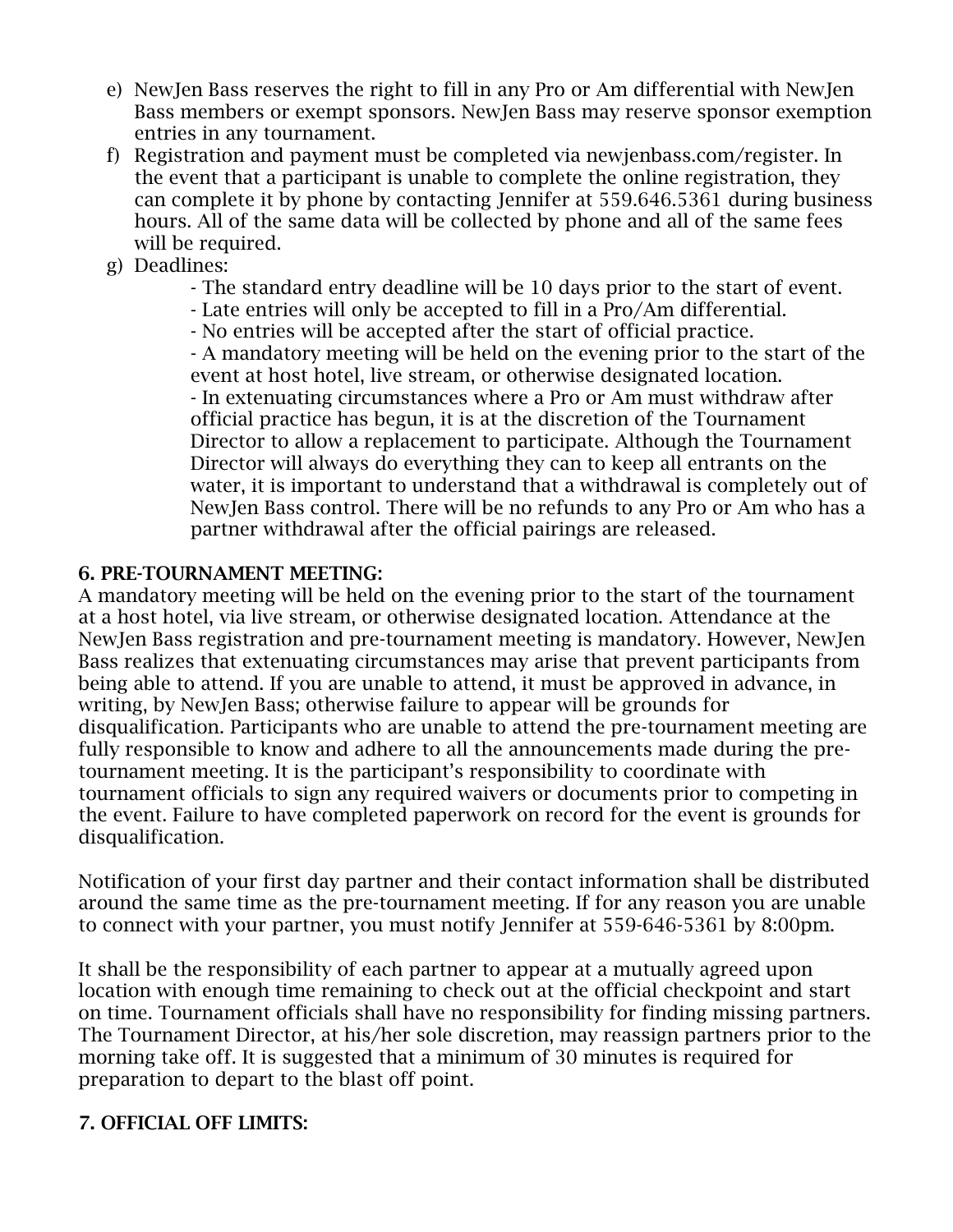- e) NewJen Bass reserves the right to fill in any Pro or Am differential with NewJen Bass members or exempt sponsors. NewJen Bass may reserve sponsor exemption entries in any tournament.
- f) Registration and payment must be completed via newjenbass.com/register. In the event that a participant is unable to complete the online registration, they can complete it by phone by contacting Jennifer at 559.646.5361 during business hours. All of the same data will be collected by phone and all of the same fees will be required.
- g) Deadlines:
	- The standard entry deadline will be 10 days prior to the start of event.
	- Late entries will only be accepted to fill in a Pro/Am differential.
	- No entries will be accepted after the start of official practice.

- A mandatory meeting will be held on the evening prior to the start of the event at host hotel, live stream, or otherwise designated location. - In extenuating circumstances where a Pro or Am must withdraw after official practice has begun, it is at the discretion of the Tournament Director to allow a replacement to participate. Although the Tournament Director will always do everything they can to keep all entrants on the water, it is important to understand that a withdrawal is completely out of NewJen Bass control. There will be no refunds to any Pro or Am who has a partner withdrawal after the official pairings are released.

### 6. PRE-TOURNAMENT MEETING:

A mandatory meeting will be held on the evening prior to the start of the tournament at a host hotel, via live stream, or otherwise designated location. Attendance at the NewJen Bass registration and pre-tournament meeting is mandatory. However, NewJen Bass realizes that extenuating circumstances may arise that prevent participants from being able to attend. If you are unable to attend, it must be approved in advance, in writing, by NewJen Bass; otherwise failure to appear will be grounds for disqualification. Participants who are unable to attend the pre-tournament meeting are fully responsible to know and adhere to all the announcements made during the pretournament meeting. It is the participant's responsibility to coordinate with tournament officials to sign any required waivers or documents prior to competing in the event. Failure to have completed paperwork on record for the event is grounds for disqualification.

Notification of your first day partner and their contact information shall be distributed around the same time as the pre-tournament meeting. If for any reason you are unable to connect with your partner, you must notify Jennifer at 559-646-5361 by 8:00pm.

It shall be the responsibility of each partner to appear at a mutually agreed upon location with enough time remaining to check out at the official checkpoint and start on time. Tournament officials shall have no responsibility for finding missing partners. The Tournament Director, at his/her sole discretion, may reassign partners prior to the morning take off. It is suggested that a minimum of 30 minutes is required for preparation to depart to the blast off point.

## 7. OFFICIAL OFF LIMITS: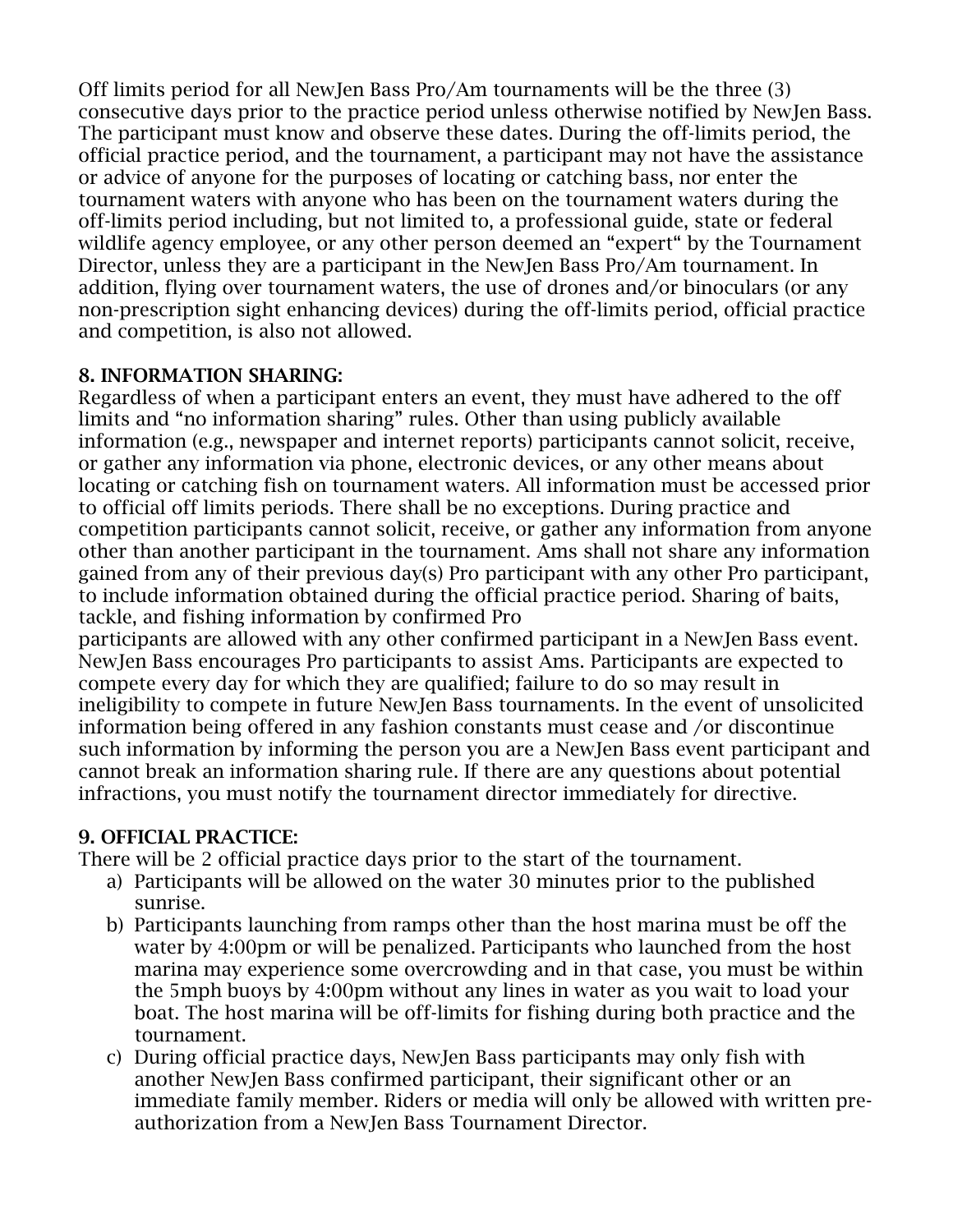Off limits period for all NewJen Bass Pro/Am tournaments will be the three (3) consecutive days prior to the practice period unless otherwise notified by NewJen Bass. The participant must know and observe these dates. During the off-limits period, the official practice period, and the tournament, a participant may not have the assistance or advice of anyone for the purposes of locating or catching bass, nor enter the tournament waters with anyone who has been on the tournament waters during the off-limits period including, but not limited to, a professional guide, state or federal wildlife agency employee, or any other person deemed an "expert" by the Tournament Director, unless they are a participant in the NewJen Bass Pro/Am tournament. In addition, flying over tournament waters, the use of drones and/or binoculars (or any non-prescription sight enhancing devices) during the off-limits period, official practice and competition, is also not allowed.

## 8. INFORMATION SHARING:

Regardless of when a participant enters an event, they must have adhered to the off limits and "no information sharing" rules. Other than using publicly available information (e.g., newspaper and internet reports) participants cannot solicit, receive, or gather any information via phone, electronic devices, or any other means about locating or catching fish on tournament waters. All information must be accessed prior to official off limits periods. There shall be no exceptions. During practice and competition participants cannot solicit, receive, or gather any information from anyone other than another participant in the tournament. Ams shall not share any information gained from any of their previous day(s) Pro participant with any other Pro participant, to include information obtained during the official practice period. Sharing of baits, tackle, and fishing information by confirmed Pro

participants are allowed with any other confirmed participant in a NewJen Bass event. NewJen Bass encourages Pro participants to assist Ams. Participants are expected to compete every day for which they are qualified; failure to do so may result in ineligibility to compete in future NewJen Bass tournaments. In the event of unsolicited information being offered in any fashion constants must cease and /or discontinue such information by informing the person you are a NewJen Bass event participant and cannot break an information sharing rule. If there are any questions about potential infractions, you must notify the tournament director immediately for directive.

## 9. OFFICIAL PRACTICE:

There will be 2 official practice days prior to the start of the tournament.

- a) Participants will be allowed on the water 30 minutes prior to the published sunrise.
- b) Participants launching from ramps other than the host marina must be off the water by 4:00pm or will be penalized. Participants who launched from the host marina may experience some overcrowding and in that case, you must be within the 5mph buoys by 4:00pm without any lines in water as you wait to load your boat. The host marina will be off-limits for fishing during both practice and the tournament.
- c) During official practice days, NewJen Bass participants may only fish with another NewJen Bass confirmed participant, their significant other or an immediate family member. Riders or media will only be allowed with written preauthorization from a NewJen Bass Tournament Director.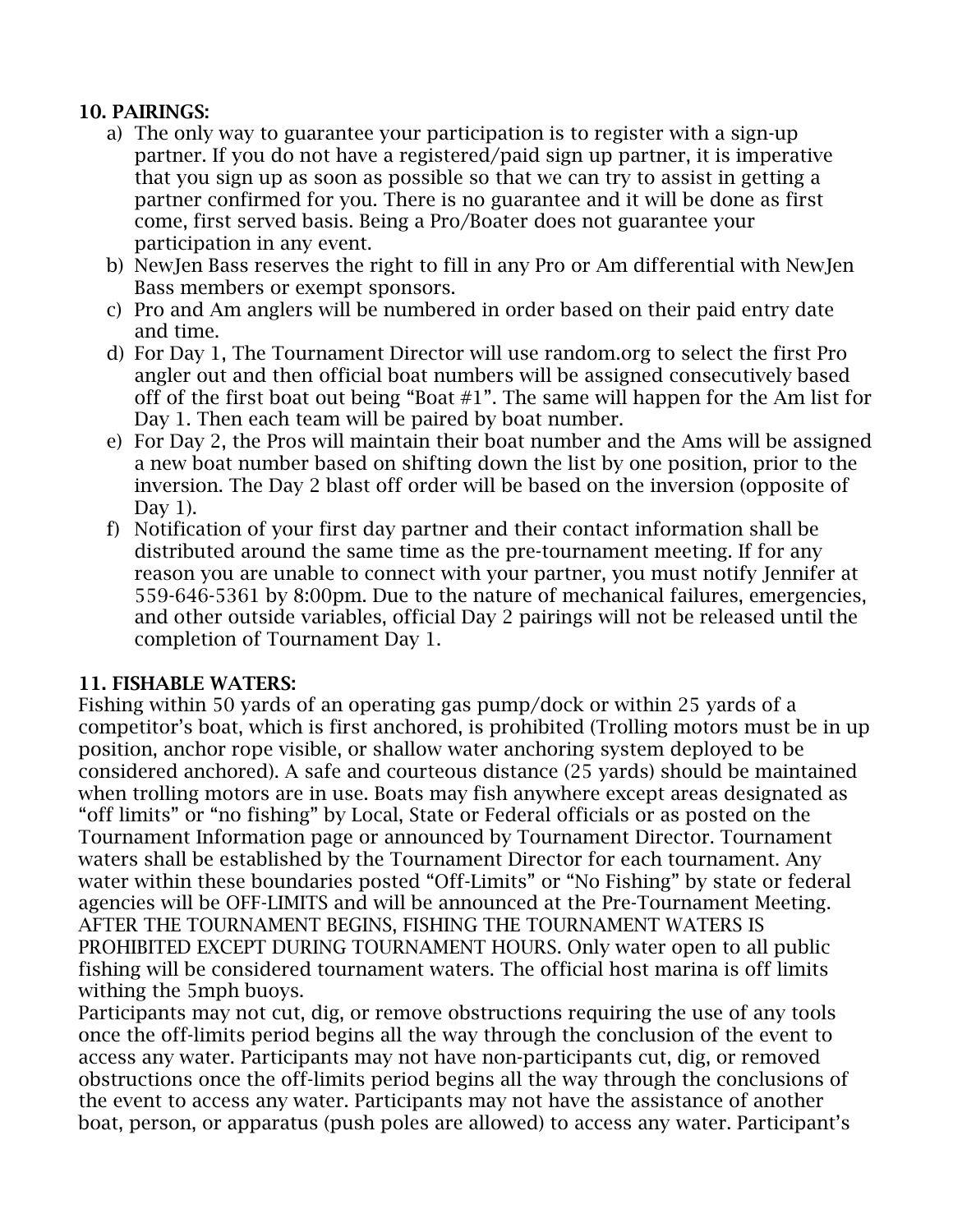## 10. PAIRINGS:

- a) The only way to guarantee your participation is to register with a sign-up partner. If you do not have a registered/paid sign up partner, it is imperative that you sign up as soon as possible so that we can try to assist in getting a partner confirmed for you. There is no guarantee and it will be done as first come, first served basis. Being a Pro/Boater does not guarantee your participation in any event.
- b) NewJen Bass reserves the right to fill in any Pro or Am differential with NewJen Bass members or exempt sponsors.
- c) Pro and Am anglers will be numbered in order based on their paid entry date and time.
- d) For Day 1, The Tournament Director will use random.org to select the first Pro angler out and then official boat numbers will be assigned consecutively based off of the first boat out being "Boat #1". The same will happen for the Am list for Day 1. Then each team will be paired by boat number.
- e) For Day 2, the Pros will maintain their boat number and the Ams will be assigned a new boat number based on shifting down the list by one position, prior to the inversion. The Day 2 blast off order will be based on the inversion (opposite of Day 1).
- f) Notification of your first day partner and their contact information shall be distributed around the same time as the pre-tournament meeting. If for any reason you are unable to connect with your partner, you must notify Jennifer at 559-646-5361 by 8:00pm. Due to the nature of mechanical failures, emergencies, and other outside variables, official Day 2 pairings will not be released until the completion of Tournament Day 1.

## 11. FISHABLE WATERS:

Fishing within 50 yards of an operating gas pump/dock or within 25 yards of a competitor's boat, which is first anchored, is prohibited (Trolling motors must be in up position, anchor rope visible, or shallow water anchoring system deployed to be considered anchored). A safe and courteous distance (25 yards) should be maintained when trolling motors are in use. Boats may fish anywhere except areas designated as "off limits" or "no fishing" by Local, State or Federal officials or as posted on the Tournament Information page or announced by Tournament Director. Tournament waters shall be established by the Tournament Director for each tournament. Any water within these boundaries posted "Off-Limits" or "No Fishing" by state or federal agencies will be OFF-LIMITS and will be announced at the Pre-Tournament Meeting. AFTER THE TOURNAMENT BEGINS, FISHING THE TOURNAMENT WATERS IS PROHIBITED EXCEPT DURING TOURNAMENT HOURS. Only water open to all public fishing will be considered tournament waters. The official host marina is off limits withing the 5mph buoys.

Participants may not cut, dig, or remove obstructions requiring the use of any tools once the off-limits period begins all the way through the conclusion of the event to access any water. Participants may not have non-participants cut, dig, or removed obstructions once the off-limits period begins all the way through the conclusions of the event to access any water. Participants may not have the assistance of another boat, person, or apparatus (push poles are allowed) to access any water. Participant's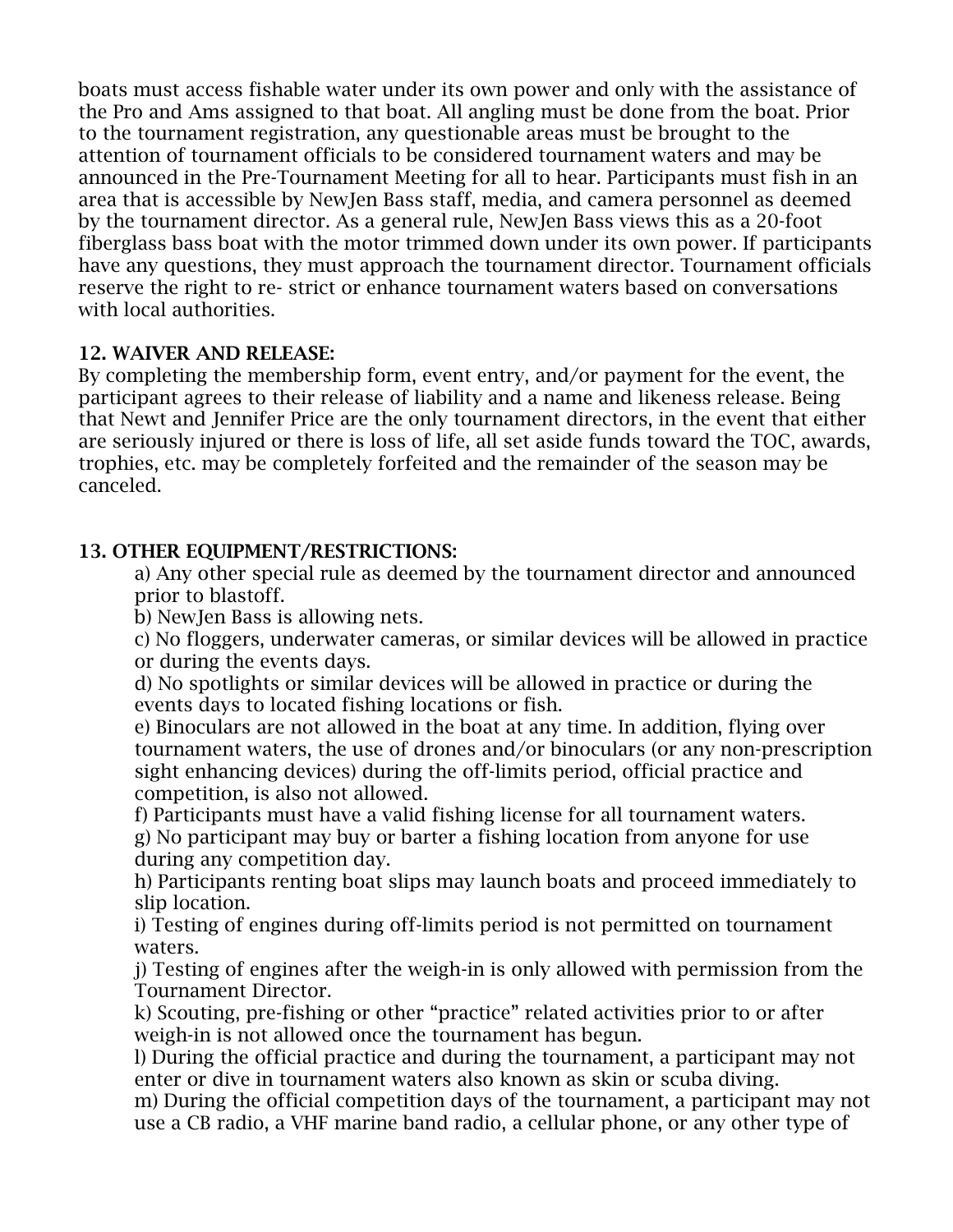boats must access fishable water under its own power and only with the assistance of the Pro and Ams assigned to that boat. All angling must be done from the boat. Prior to the tournament registration, any questionable areas must be brought to the attention of tournament officials to be considered tournament waters and may be announced in the Pre-Tournament Meeting for all to hear. Participants must fish in an area that is accessible by NewJen Bass staff, media, and camera personnel as deemed by the tournament director. As a general rule, NewJen Bass views this as a 20-foot fiberglass bass boat with the motor trimmed down under its own power. If participants have any questions, they must approach the tournament director. Tournament officials reserve the right to re- strict or enhance tournament waters based on conversations with local authorities.

## 12. WAIVER AND RELEASE:

By completing the membership form, event entry, and/or payment for the event, the participant agrees to their release of liability and a name and likeness release. Being that Newt and Jennifer Price are the only tournament directors, in the event that either are seriously injured or there is loss of life, all set aside funds toward the TOC, awards, trophies, etc. may be completely forfeited and the remainder of the season may be canceled.

## 13. OTHER EQUIPMENT/RESTRICTIONS:

a) Any other special rule as deemed by the tournament director and announced prior to blastoff.

b) NewJen Bass is allowing nets.

c) No floggers, underwater cameras, or similar devices will be allowed in practice or during the events days.

d) No spotlights or similar devices will be allowed in practice or during the events days to located fishing locations or fish.

e) Binoculars are not allowed in the boat at any time. In addition, flying over tournament waters, the use of drones and/or binoculars (or any non-prescription sight enhancing devices) during the off-limits period, official practice and competition, is also not allowed.

f) Participants must have a valid fishing license for all tournament waters. g) No participant may buy or barter a fishing location from anyone for use during any competition day.

h) Participants renting boat slips may launch boats and proceed immediately to slip location.

i) Testing of engines during off-limits period is not permitted on tournament waters.

j) Testing of engines after the weigh-in is only allowed with permission from the Tournament Director.

k) Scouting, pre-fishing or other "practice" related activities prior to or after weigh-in is not allowed once the tournament has begun.

l) During the official practice and during the tournament, a participant may not enter or dive in tournament waters also known as skin or scuba diving.

m) During the official competition days of the tournament, a participant may not use a CB radio, a VHF marine band radio, a cellular phone, or any other type of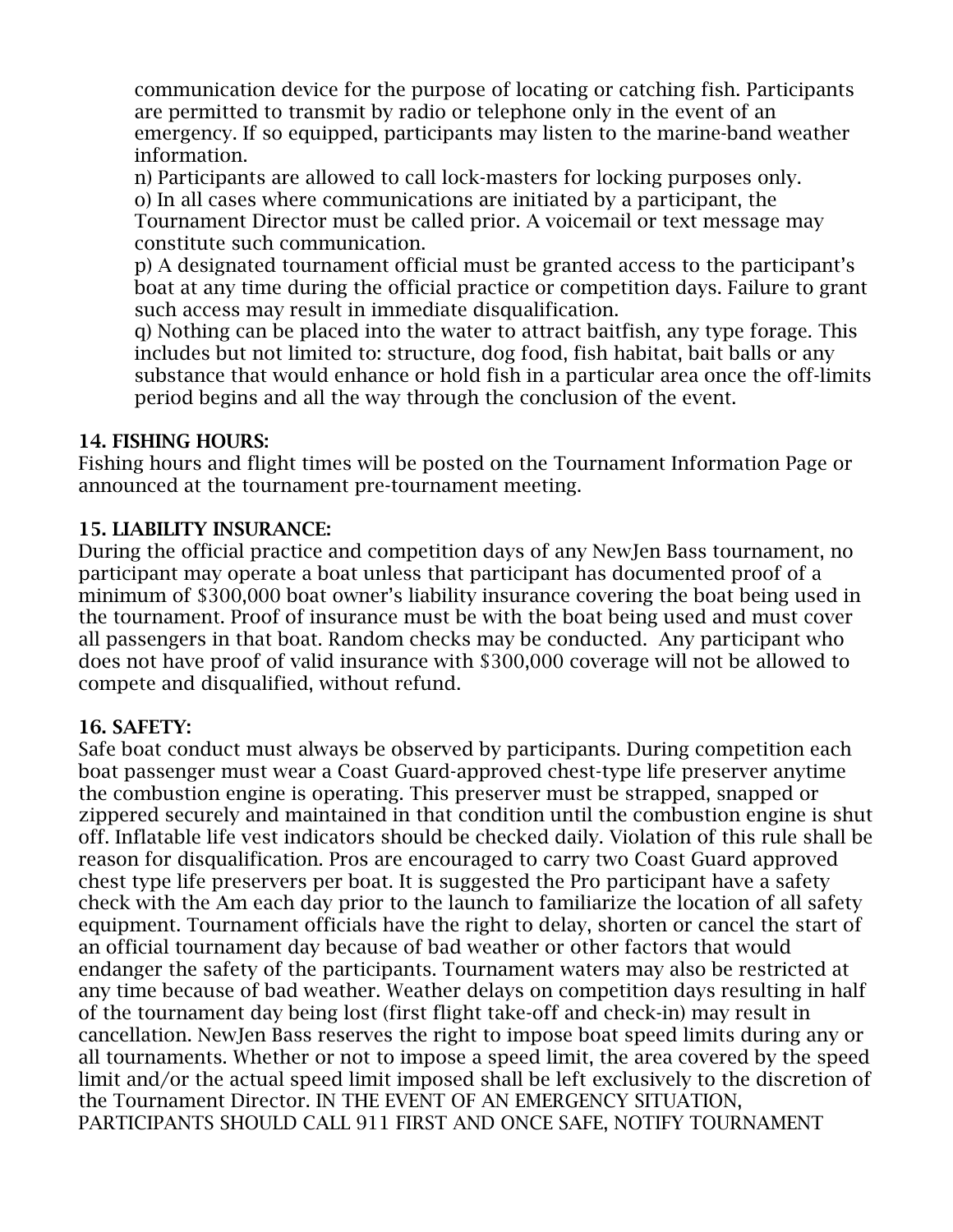communication device for the purpose of locating or catching fish. Participants are permitted to transmit by radio or telephone only in the event of an emergency. If so equipped, participants may listen to the marine-band weather information.

n) Participants are allowed to call lock-masters for locking purposes only. o) In all cases where communications are initiated by a participant, the Tournament Director must be called prior. A voicemail or text message may constitute such communication.

p) A designated tournament official must be granted access to the participant's boat at any time during the official practice or competition days. Failure to grant such access may result in immediate disqualification.

q) Nothing can be placed into the water to attract baitfish, any type forage. This includes but not limited to: structure, dog food, fish habitat, bait balls or any substance that would enhance or hold fish in a particular area once the off-limits period begins and all the way through the conclusion of the event.

#### 14. FISHING HOURS:

Fishing hours and flight times will be posted on the Tournament Information Page or announced at the tournament pre-tournament meeting.

## 15. LIABILITY INSURANCE:

During the official practice and competition days of any NewJen Bass tournament, no participant may operate a boat unless that participant has documented proof of a minimum of \$300,000 boat owner's liability insurance covering the boat being used in the tournament. Proof of insurance must be with the boat being used and must cover all passengers in that boat. Random checks may be conducted. Any participant who does not have proof of valid insurance with \$300,000 coverage will not be allowed to compete and disqualified, without refund.

#### 16. SAFETY:

Safe boat conduct must always be observed by participants. During competition each boat passenger must wear a Coast Guard-approved chest-type life preserver anytime the combustion engine is operating. This preserver must be strapped, snapped or zippered securely and maintained in that condition until the combustion engine is shut off. Inflatable life vest indicators should be checked daily. Violation of this rule shall be reason for disqualification. Pros are encouraged to carry two Coast Guard approved chest type life preservers per boat. It is suggested the Pro participant have a safety check with the Am each day prior to the launch to familiarize the location of all safety equipment. Tournament officials have the right to delay, shorten or cancel the start of an official tournament day because of bad weather or other factors that would endanger the safety of the participants. Tournament waters may also be restricted at any time because of bad weather. Weather delays on competition days resulting in half of the tournament day being lost (first flight take-off and check-in) may result in cancellation. NewJen Bass reserves the right to impose boat speed limits during any or all tournaments. Whether or not to impose a speed limit, the area covered by the speed limit and/or the actual speed limit imposed shall be left exclusively to the discretion of the Tournament Director. IN THE EVENT OF AN EMERGENCY SITUATION, PARTICIPANTS SHOULD CALL 911 FIRST AND ONCE SAFE, NOTIFY TOURNAMENT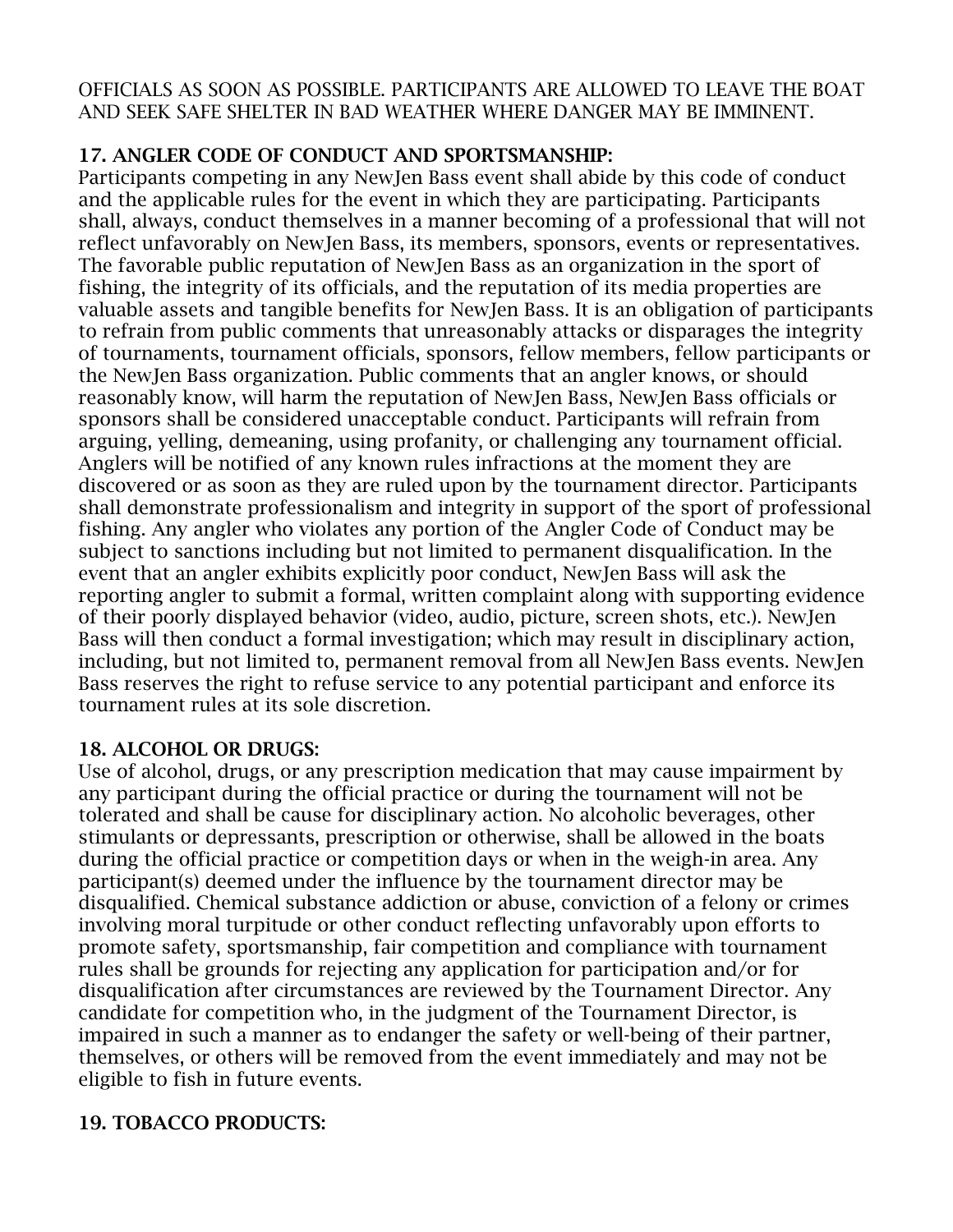OFFICIALS AS SOON AS POSSIBLE. PARTICIPANTS ARE ALLOWED TO LEAVE THE BOAT AND SEEK SAFE SHELTER IN BAD WEATHER WHERE DANGER MAY BE IMMINENT.

# 17. ANGLER CODE OF CONDUCT AND SPORTSMANSHIP:

Participants competing in any NewJen Bass event shall abide by this code of conduct and the applicable rules for the event in which they are participating. Participants shall, always, conduct themselves in a manner becoming of a professional that will not reflect unfavorably on NewJen Bass, its members, sponsors, events or representatives. The favorable public reputation of NewJen Bass as an organization in the sport of fishing, the integrity of its officials, and the reputation of its media properties are valuable assets and tangible benefits for NewJen Bass. It is an obligation of participants to refrain from public comments that unreasonably attacks or disparages the integrity of tournaments, tournament officials, sponsors, fellow members, fellow participants or the NewJen Bass organization. Public comments that an angler knows, or should reasonably know, will harm the reputation of NewJen Bass, NewJen Bass officials or sponsors shall be considered unacceptable conduct. Participants will refrain from arguing, yelling, demeaning, using profanity, or challenging any tournament official. Anglers will be notified of any known rules infractions at the moment they are discovered or as soon as they are ruled upon by the tournament director. Participants shall demonstrate professionalism and integrity in support of the sport of professional fishing. Any angler who violates any portion of the Angler Code of Conduct may be subject to sanctions including but not limited to permanent disqualification. In the event that an angler exhibits explicitly poor conduct, NewJen Bass will ask the reporting angler to submit a formal, written complaint along with supporting evidence of their poorly displayed behavior (video, audio, picture, screen shots, etc.). NewJen Bass will then conduct a formal investigation; which may result in disciplinary action, including, but not limited to, permanent removal from all NewJen Bass events. NewJen Bass reserves the right to refuse service to any potential participant and enforce its tournament rules at its sole discretion.

## 18. ALCOHOL OR DRUGS:

Use of alcohol, drugs, or any prescription medication that may cause impairment by any participant during the official practice or during the tournament will not be tolerated and shall be cause for disciplinary action. No alcoholic beverages, other stimulants or depressants, prescription or otherwise, shall be allowed in the boats during the official practice or competition days or when in the weigh-in area. Any participant(s) deemed under the influence by the tournament director may be disqualified. Chemical substance addiction or abuse, conviction of a felony or crimes involving moral turpitude or other conduct reflecting unfavorably upon efforts to promote safety, sportsmanship, fair competition and compliance with tournament rules shall be grounds for rejecting any application for participation and/or for disqualification after circumstances are reviewed by the Tournament Director. Any candidate for competition who, in the judgment of the Tournament Director, is impaired in such a manner as to endanger the safety or well-being of their partner, themselves, or others will be removed from the event immediately and may not be eligible to fish in future events.

# 19. TOBACCO PRODUCTS: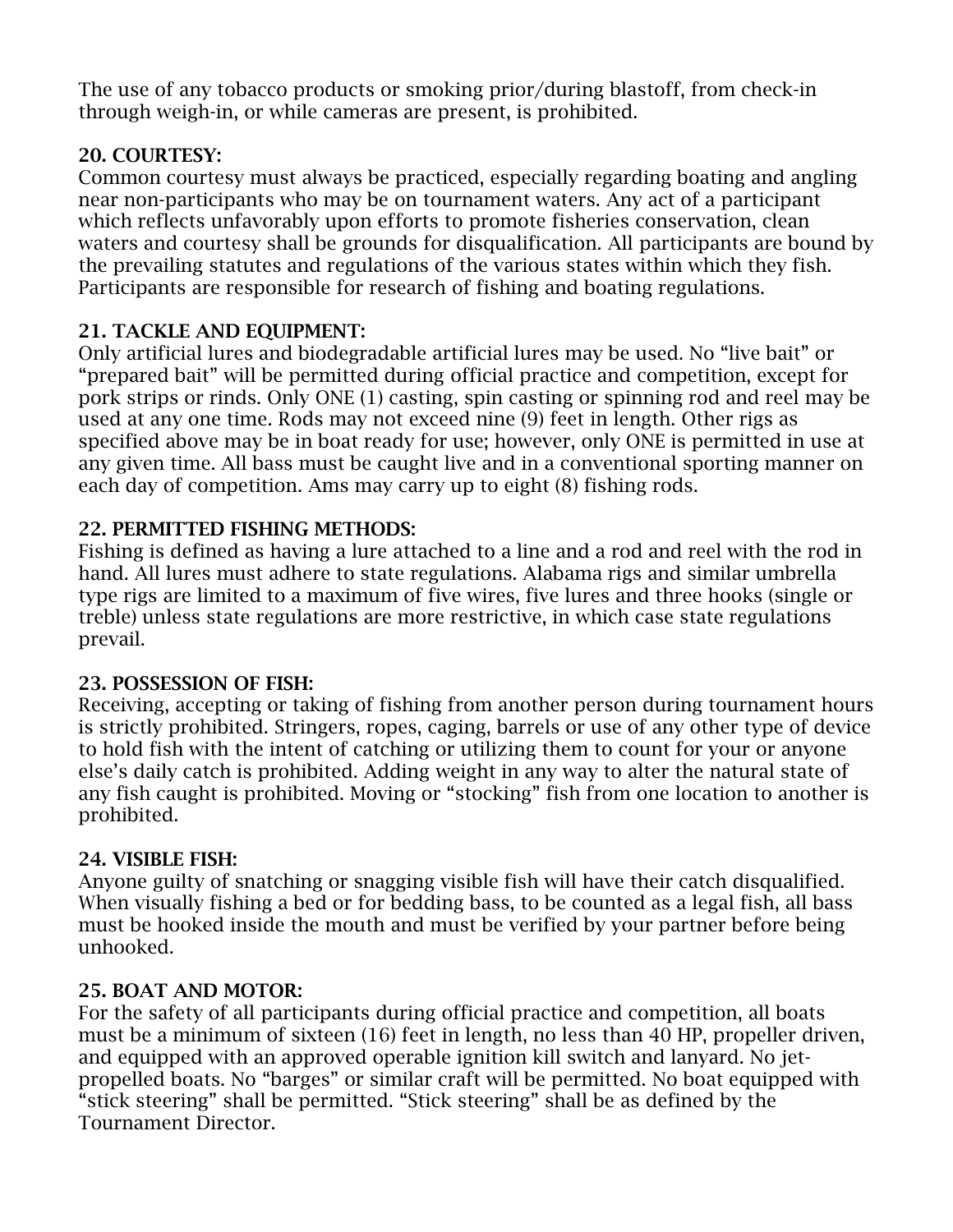The use of any tobacco products or smoking prior/during blastoff, from check-in through weigh-in, or while cameras are present, is prohibited.

# 20. COURTESY:

Common courtesy must always be practiced, especially regarding boating and angling near non-participants who may be on tournament waters. Any act of a participant which reflects unfavorably upon efforts to promote fisheries conservation, clean waters and courtesy shall be grounds for disqualification. All participants are bound by the prevailing statutes and regulations of the various states within which they fish. Participants are responsible for research of fishing and boating regulations.

# 21. TACKLE AND EQUIPMENT:

Only artificial lures and biodegradable artificial lures may be used. No "live bait" or "prepared bait" will be permitted during official practice and competition, except for pork strips or rinds. Only ONE (1) casting, spin casting or spinning rod and reel may be used at any one time. Rods may not exceed nine (9) feet in length. Other rigs as specified above may be in boat ready for use; however, only ONE is permitted in use at any given time. All bass must be caught live and in a conventional sporting manner on each day of competition. Ams may carry up to eight (8) fishing rods.

# 22. PERMITTED FISHING METHODS:

Fishing is defined as having a lure attached to a line and a rod and reel with the rod in hand. All lures must adhere to state regulations. Alabama rigs and similar umbrella type rigs are limited to a maximum of five wires, five lures and three hooks (single or treble) unless state regulations are more restrictive, in which case state regulations prevail.

## 23. POSSESSION OF FISH:

Receiving, accepting or taking of fishing from another person during tournament hours is strictly prohibited. Stringers, ropes, caging, barrels or use of any other type of device to hold fish with the intent of catching or utilizing them to count for your or anyone else's daily catch is prohibited. Adding weight in any way to alter the natural state of any fish caught is prohibited. Moving or "stocking" fish from one location to another is prohibited.

## 24. VISIBLE FISH:

Anyone guilty of snatching or snagging visible fish will have their catch disqualified. When visually fishing a bed or for bedding bass, to be counted as a legal fish, all bass must be hooked inside the mouth and must be verified by your partner before being unhooked.

## 25. BOAT AND MOTOR:

For the safety of all participants during official practice and competition, all boats must be a minimum of sixteen (16) feet in length, no less than 40 HP, propeller driven, and equipped with an approved operable ignition kill switch and lanyard. No jetpropelled boats. No "barges" or similar craft will be permitted. No boat equipped with "stick steering" shall be permitted. "Stick steering" shall be as defined by the Tournament Director.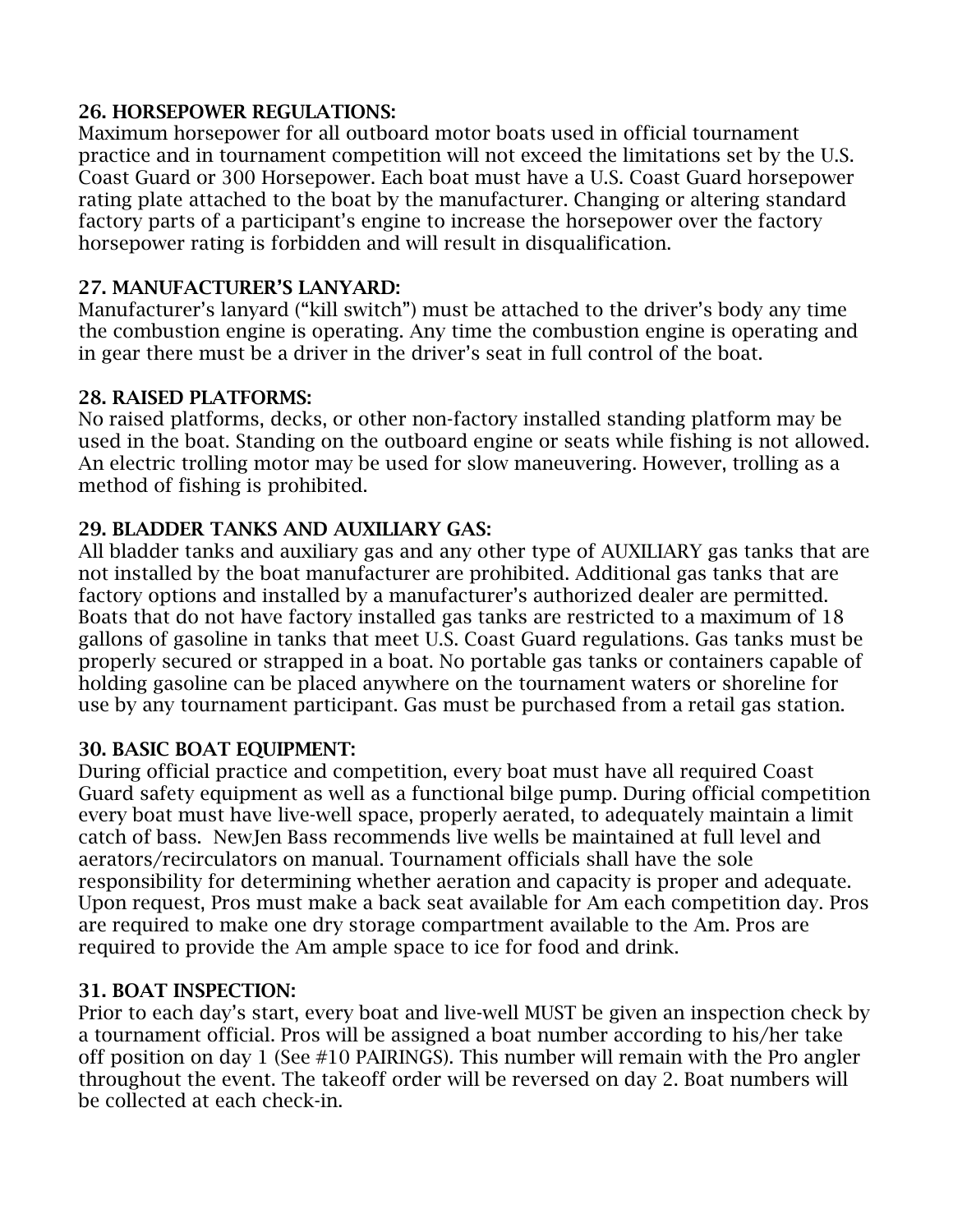### 26. HORSEPOWER REGULATIONS:

Maximum horsepower for all outboard motor boats used in official tournament practice and in tournament competition will not exceed the limitations set by the U.S. Coast Guard or 300 Horsepower. Each boat must have a U.S. Coast Guard horsepower rating plate attached to the boat by the manufacturer. Changing or altering standard factory parts of a participant's engine to increase the horsepower over the factory horsepower rating is forbidden and will result in disqualification.

### 27. MANUFACTURER'S LANYARD:

Manufacturer's lanyard ("kill switch") must be attached to the driver's body any time the combustion engine is operating. Any time the combustion engine is operating and in gear there must be a driver in the driver's seat in full control of the boat.

### 28. RAISED PLATFORMS:

No raised platforms, decks, or other non-factory installed standing platform may be used in the boat. Standing on the outboard engine or seats while fishing is not allowed. An electric trolling motor may be used for slow maneuvering. However, trolling as a method of fishing is prohibited.

## 29. BLADDER TANKS AND AUXILIARY GAS:

All bladder tanks and auxiliary gas and any other type of AUXILIARY gas tanks that are not installed by the boat manufacturer are prohibited. Additional gas tanks that are factory options and installed by a manufacturer's authorized dealer are permitted. Boats that do not have factory installed gas tanks are restricted to a maximum of 18 gallons of gasoline in tanks that meet U.S. Coast Guard regulations. Gas tanks must be properly secured or strapped in a boat. No portable gas tanks or containers capable of holding gasoline can be placed anywhere on the tournament waters or shoreline for use by any tournament participant. Gas must be purchased from a retail gas station.

## 30. BASIC BOAT EQUIPMENT:

During official practice and competition, every boat must have all required Coast Guard safety equipment as well as a functional bilge pump. During official competition every boat must have live-well space, properly aerated, to adequately maintain a limit catch of bass. NewJen Bass recommends live wells be maintained at full level and aerators/recirculators on manual. Tournament officials shall have the sole responsibility for determining whether aeration and capacity is proper and adequate. Upon request, Pros must make a back seat available for Am each competition day. Pros are required to make one dry storage compartment available to the Am. Pros are required to provide the Am ample space to ice for food and drink.

## 31. BOAT INSPECTION:

Prior to each day's start, every boat and live-well MUST be given an inspection check by a tournament official. Pros will be assigned a boat number according to his/her take off position on day 1 (See #10 PAIRINGS). This number will remain with the Pro angler throughout the event. The takeoff order will be reversed on day 2. Boat numbers will be collected at each check-in.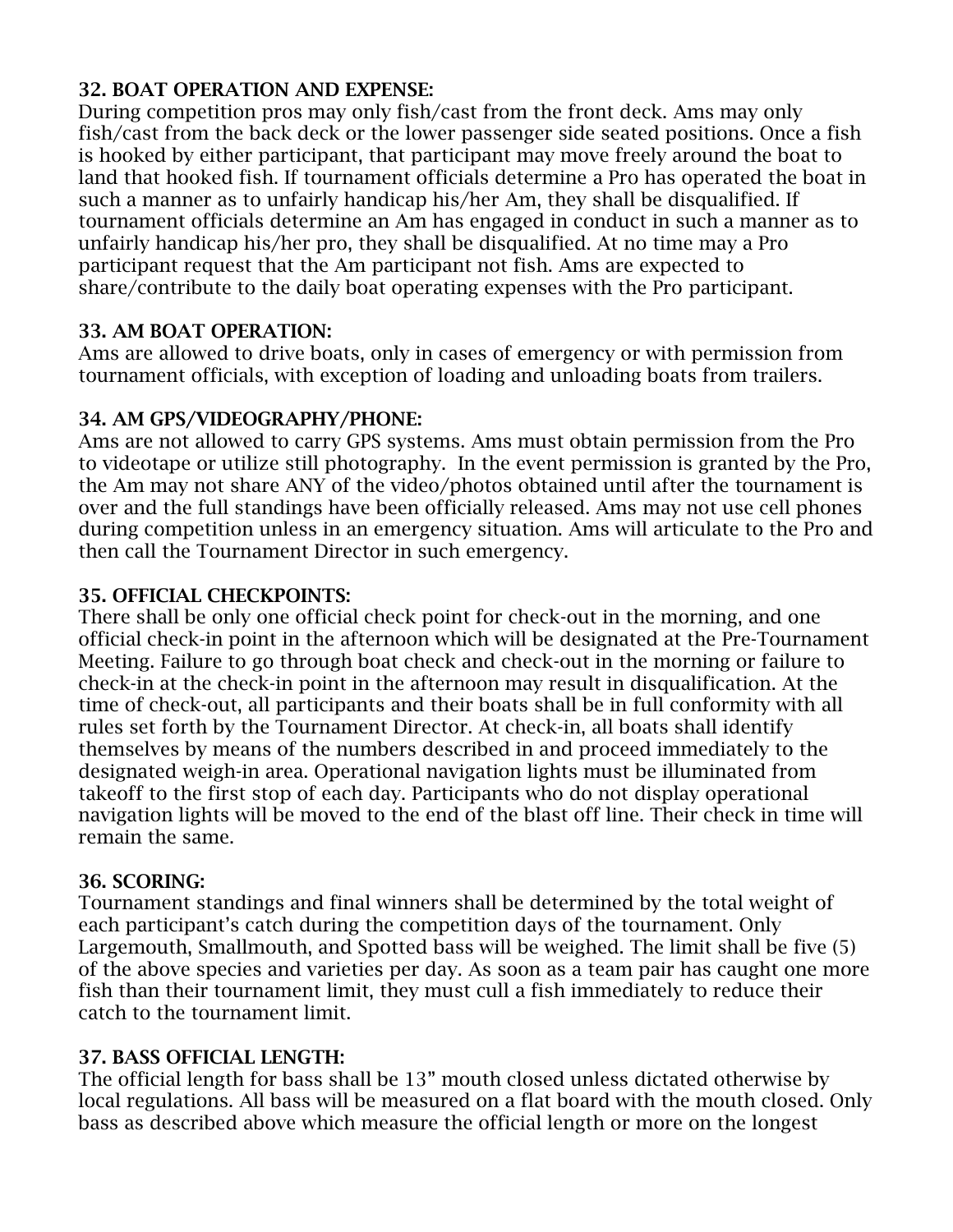### 32. BOAT OPERATION AND EXPENSE:

During competition pros may only fish/cast from the front deck. Ams may only fish/cast from the back deck or the lower passenger side seated positions. Once a fish is hooked by either participant, that participant may move freely around the boat to land that hooked fish. If tournament officials determine a Pro has operated the boat in such a manner as to unfairly handicap his/her Am, they shall be disqualified. If tournament officials determine an Am has engaged in conduct in such a manner as to unfairly handicap his/her pro, they shall be disqualified. At no time may a Pro participant request that the Am participant not fish. Ams are expected to share/contribute to the daily boat operating expenses with the Pro participant.

### 33. AM BOAT OPERATION:

Ams are allowed to drive boats, only in cases of emergency or with permission from tournament officials, with exception of loading and unloading boats from trailers.

### 34. AM GPS/VIDEOGRAPHY/PHONE:

Ams are not allowed to carry GPS systems. Ams must obtain permission from the Pro to videotape or utilize still photography. In the event permission is granted by the Pro, the Am may not share ANY of the video/photos obtained until after the tournament is over and the full standings have been officially released. Ams may not use cell phones during competition unless in an emergency situation. Ams will articulate to the Pro and then call the Tournament Director in such emergency.

### 35. OFFICIAL CHECKPOINTS:

There shall be only one official check point for check-out in the morning, and one official check-in point in the afternoon which will be designated at the Pre-Tournament Meeting. Failure to go through boat check and check-out in the morning or failure to check-in at the check-in point in the afternoon may result in disqualification. At the time of check-out, all participants and their boats shall be in full conformity with all rules set forth by the Tournament Director. At check-in, all boats shall identify themselves by means of the numbers described in and proceed immediately to the designated weigh-in area. Operational navigation lights must be illuminated from takeoff to the first stop of each day. Participants who do not display operational navigation lights will be moved to the end of the blast off line. Their check in time will remain the same.

#### 36. SCORING:

Tournament standings and final winners shall be determined by the total weight of each participant's catch during the competition days of the tournament. Only Largemouth, Smallmouth, and Spotted bass will be weighed. The limit shall be five (5) of the above species and varieties per day. As soon as a team pair has caught one more fish than their tournament limit, they must cull a fish immediately to reduce their catch to the tournament limit.

## 37. BASS OFFICIAL LENGTH:

The official length for bass shall be 13" mouth closed unless dictated otherwise by local regulations. All bass will be measured on a flat board with the mouth closed. Only bass as described above which measure the official length or more on the longest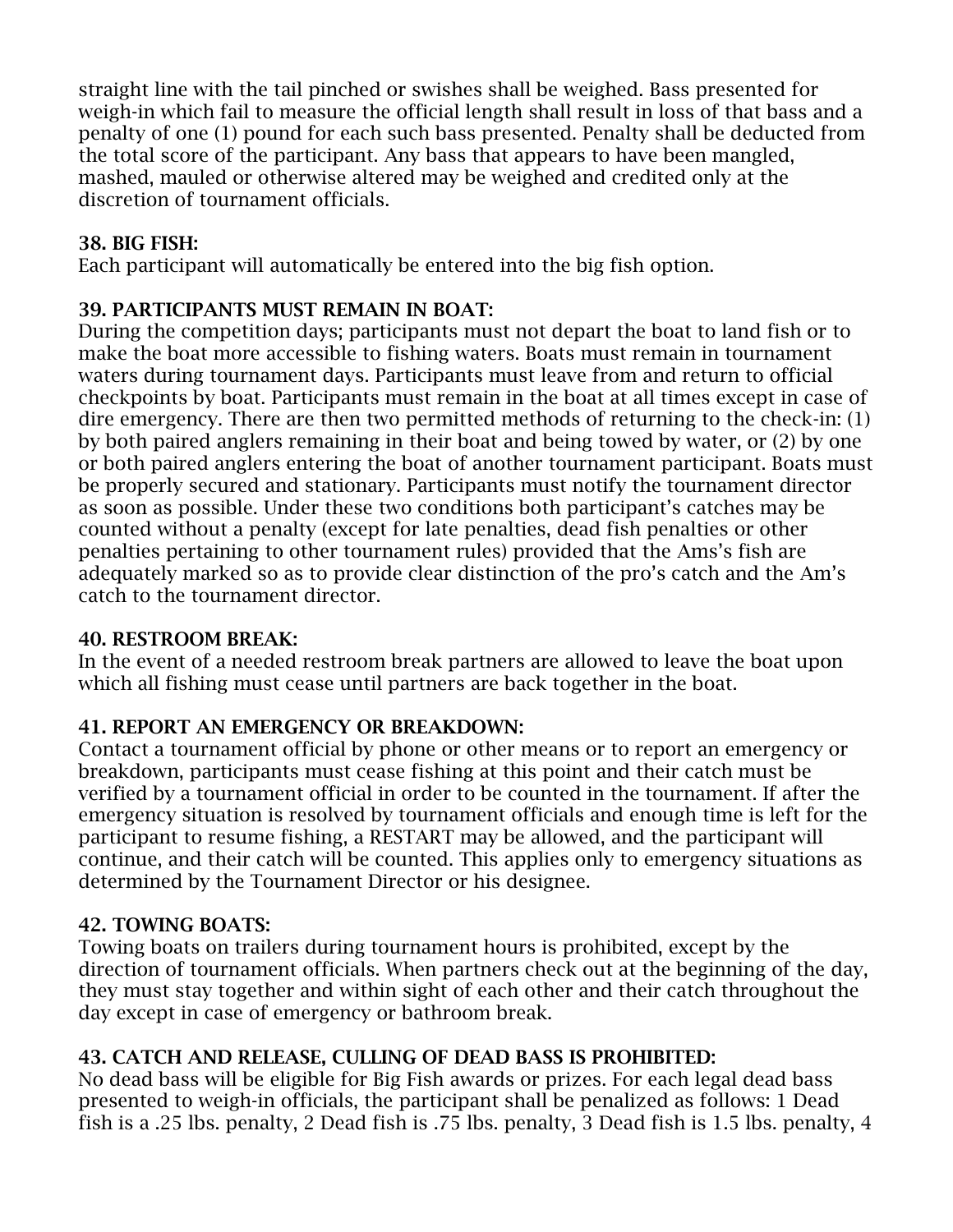straight line with the tail pinched or swishes shall be weighed. Bass presented for weigh-in which fail to measure the official length shall result in loss of that bass and a penalty of one (1) pound for each such bass presented. Penalty shall be deducted from the total score of the participant. Any bass that appears to have been mangled, mashed, mauled or otherwise altered may be weighed and credited only at the discretion of tournament officials.

### 38. BIG FISH:

Each participant will automatically be entered into the big fish option.

## 39. PARTICIPANTS MUST REMAIN IN BOAT:

During the competition days; participants must not depart the boat to land fish or to make the boat more accessible to fishing waters. Boats must remain in tournament waters during tournament days. Participants must leave from and return to official checkpoints by boat. Participants must remain in the boat at all times except in case of dire emergency. There are then two permitted methods of returning to the check-in: (1) by both paired anglers remaining in their boat and being towed by water, or (2) by one or both paired anglers entering the boat of another tournament participant. Boats must be properly secured and stationary. Participants must notify the tournament director as soon as possible. Under these two conditions both participant's catches may be counted without a penalty (except for late penalties, dead fish penalties or other penalties pertaining to other tournament rules) provided that the Ams's fish are adequately marked so as to provide clear distinction of the pro's catch and the Am's catch to the tournament director.

## 40. RESTROOM BREAK:

In the event of a needed restroom break partners are allowed to leave the boat upon which all fishing must cease until partners are back together in the boat.

## 41. REPORT AN EMERGENCY OR BREAKDOWN:

Contact a tournament official by phone or other means or to report an emergency or breakdown, participants must cease fishing at this point and their catch must be verified by a tournament official in order to be counted in the tournament. If after the emergency situation is resolved by tournament officials and enough time is left for the participant to resume fishing, a RESTART may be allowed, and the participant will continue, and their catch will be counted. This applies only to emergency situations as determined by the Tournament Director or his designee.

## 42. TOWING BOATS:

Towing boats on trailers during tournament hours is prohibited, except by the direction of tournament officials. When partners check out at the beginning of the day, they must stay together and within sight of each other and their catch throughout the day except in case of emergency or bathroom break.

# 43. CATCH AND RELEASE, CULLING OF DEAD BASS IS PROHIBITED:

No dead bass will be eligible for Big Fish awards or prizes. For each legal dead bass presented to weigh-in officials, the participant shall be penalized as follows: 1 Dead fish is a .25 lbs. penalty, 2 Dead fish is .75 lbs. penalty, 3 Dead fish is 1.5 lbs. penalty, 4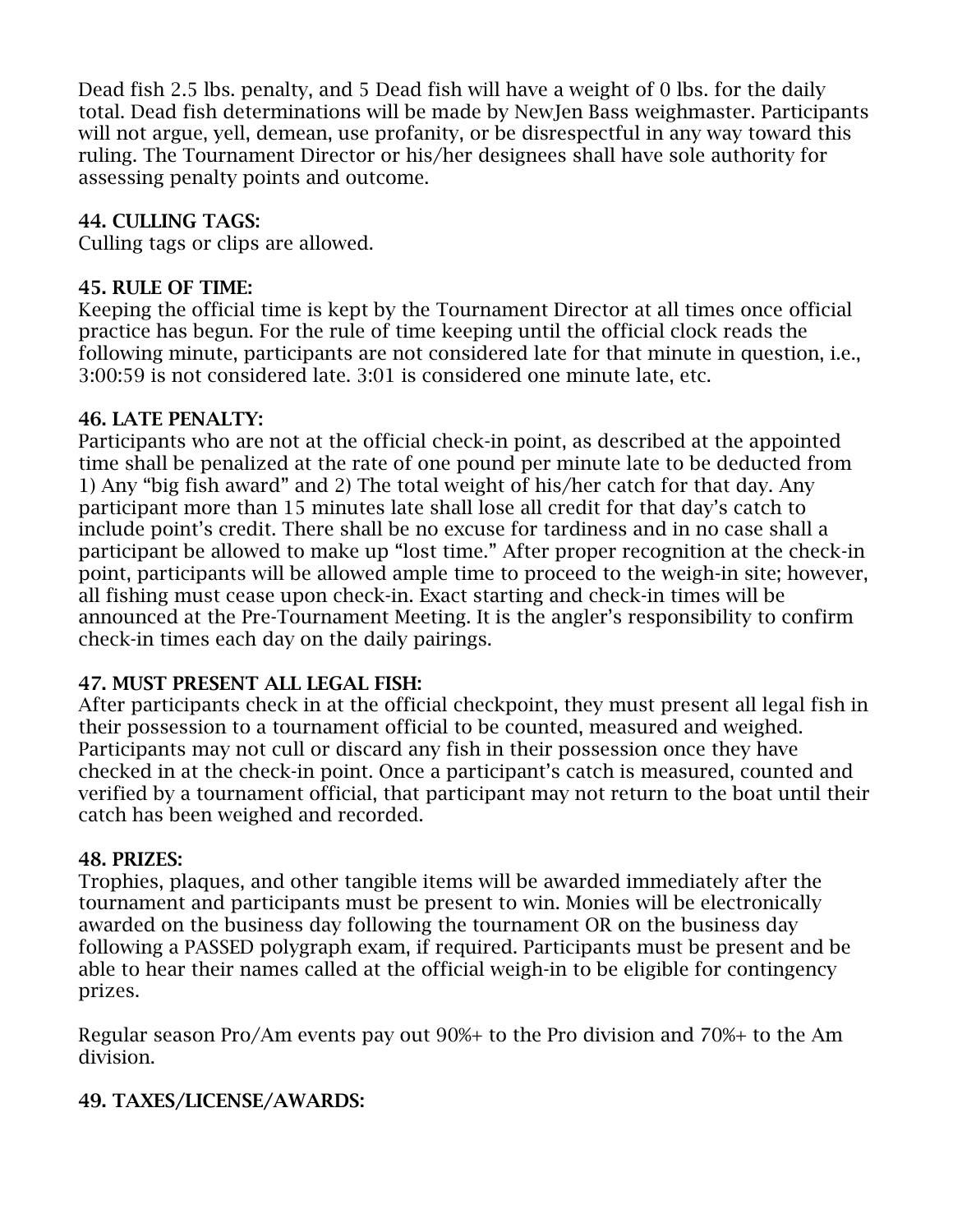Dead fish 2.5 lbs. penalty, and 5 Dead fish will have a weight of 0 lbs. for the daily total. Dead fish determinations will be made by NewJen Bass weighmaster. Participants will not argue, yell, demean, use profanity, or be disrespectful in any way toward this ruling. The Tournament Director or his/her designees shall have sole authority for assessing penalty points and outcome.

## 44. CULLING TAGS:

Culling tags or clips are allowed.

#### 45. RULE OF TIME:

Keeping the official time is kept by the Tournament Director at all times once official practice has begun. For the rule of time keeping until the official clock reads the following minute, participants are not considered late for that minute in question, i.e., 3:00:59 is not considered late. 3:01 is considered one minute late, etc.

### 46. LATE PENALTY:

Participants who are not at the official check-in point, as described at the appointed time shall be penalized at the rate of one pound per minute late to be deducted from 1) Any "big fish award" and 2) The total weight of his/her catch for that day. Any participant more than 15 minutes late shall lose all credit for that day's catch to include point's credit. There shall be no excuse for tardiness and in no case shall a participant be allowed to make up "lost time." After proper recognition at the check-in point, participants will be allowed ample time to proceed to the weigh-in site; however, all fishing must cease upon check-in. Exact starting and check-in times will be announced at the Pre-Tournament Meeting. It is the angler's responsibility to confirm check-in times each day on the daily pairings.

## 47. MUST PRESENT ALL LEGAL FISH:

After participants check in at the official checkpoint, they must present all legal fish in their possession to a tournament official to be counted, measured and weighed. Participants may not cull or discard any fish in their possession once they have checked in at the check-in point. Once a participant's catch is measured, counted and verified by a tournament official, that participant may not return to the boat until their catch has been weighed and recorded.

#### 48. PRIZES:

Trophies, plaques, and other tangible items will be awarded immediately after the tournament and participants must be present to win. Monies will be electronically awarded on the business day following the tournament OR on the business day following a PASSED polygraph exam, if required. Participants must be present and be able to hear their names called at the official weigh-in to be eligible for contingency prizes.

Regular season Pro/Am events pay out 90%+ to the Pro division and 70%+ to the Am division.

## 49. TAXES/LICENSE/AWARDS: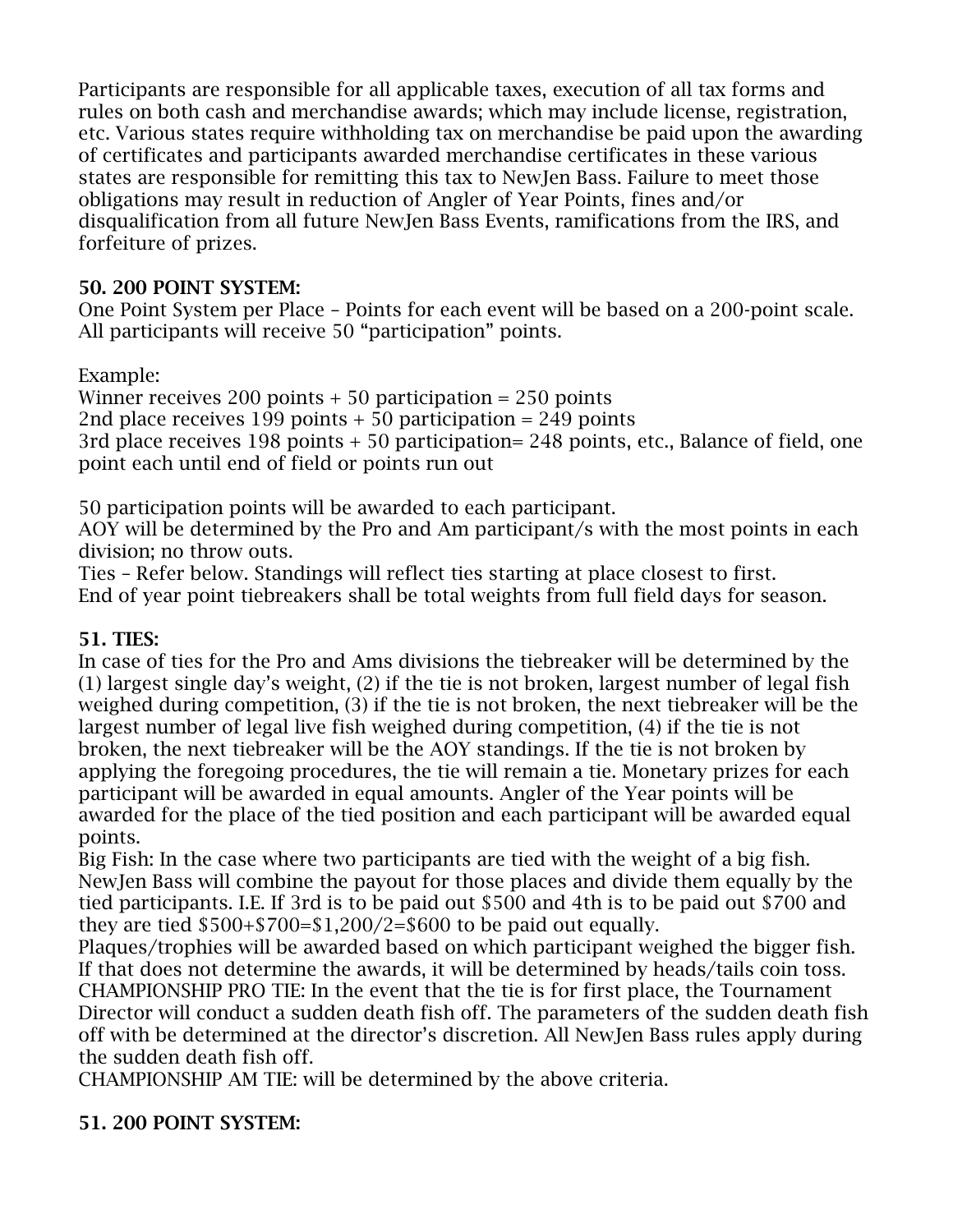Participants are responsible for all applicable taxes, execution of all tax forms and rules on both cash and merchandise awards; which may include license, registration, etc. Various states require withholding tax on merchandise be paid upon the awarding of certificates and participants awarded merchandise certificates in these various states are responsible for remitting this tax to NewJen Bass. Failure to meet those obligations may result in reduction of Angler of Year Points, fines and/or disqualification from all future NewJen Bass Events, ramifications from the IRS, and forfeiture of prizes.

## 50. 200 POINT SYSTEM:

One Point System per Place – Points for each event will be based on a 200-point scale. All participants will receive 50 "participation" points.

# Example:

Winner receives 200 points  $+50$  participation  $= 250$  points 2nd place receives 199 points + 50 participation = 249 points 3rd place receives 198 points + 50 participation= 248 points, etc., Balance of field, one point each until end of field or points run out

50 participation points will be awarded to each participant.

AOY will be determined by the Pro and Am participant/s with the most points in each division; no throw outs.

Ties – Refer below. Standings will reflect ties starting at place closest to first. End of year point tiebreakers shall be total weights from full field days for season.

# 51. TIES:

In case of ties for the Pro and Ams divisions the tiebreaker will be determined by the (1) largest single day's weight, (2) if the tie is not broken, largest number of legal fish weighed during competition, (3) if the tie is not broken, the next tiebreaker will be the largest number of legal live fish weighed during competition, (4) if the tie is not broken, the next tiebreaker will be the AOY standings. If the tie is not broken by applying the foregoing procedures, the tie will remain a tie. Monetary prizes for each participant will be awarded in equal amounts. Angler of the Year points will be awarded for the place of the tied position and each participant will be awarded equal points.

Big Fish: In the case where two participants are tied with the weight of a big fish. NewJen Bass will combine the payout for those places and divide them equally by the tied participants. I.E. If 3rd is to be paid out \$500 and 4th is to be paid out \$700 and they are tied  $$500+$700=$1,200/2=$600 to be paid out equally.$ 

Plaques/trophies will be awarded based on which participant weighed the bigger fish. If that does not determine the awards, it will be determined by heads/tails coin toss. CHAMPIONSHIP PRO TIE: In the event that the tie is for first place, the Tournament Director will conduct a sudden death fish off. The parameters of the sudden death fish off with be determined at the director's discretion. All NewJen Bass rules apply during the sudden death fish off.

CHAMPIONSHIP AM TIE: will be determined by the above criteria.

# 51. 200 POINT SYSTEM: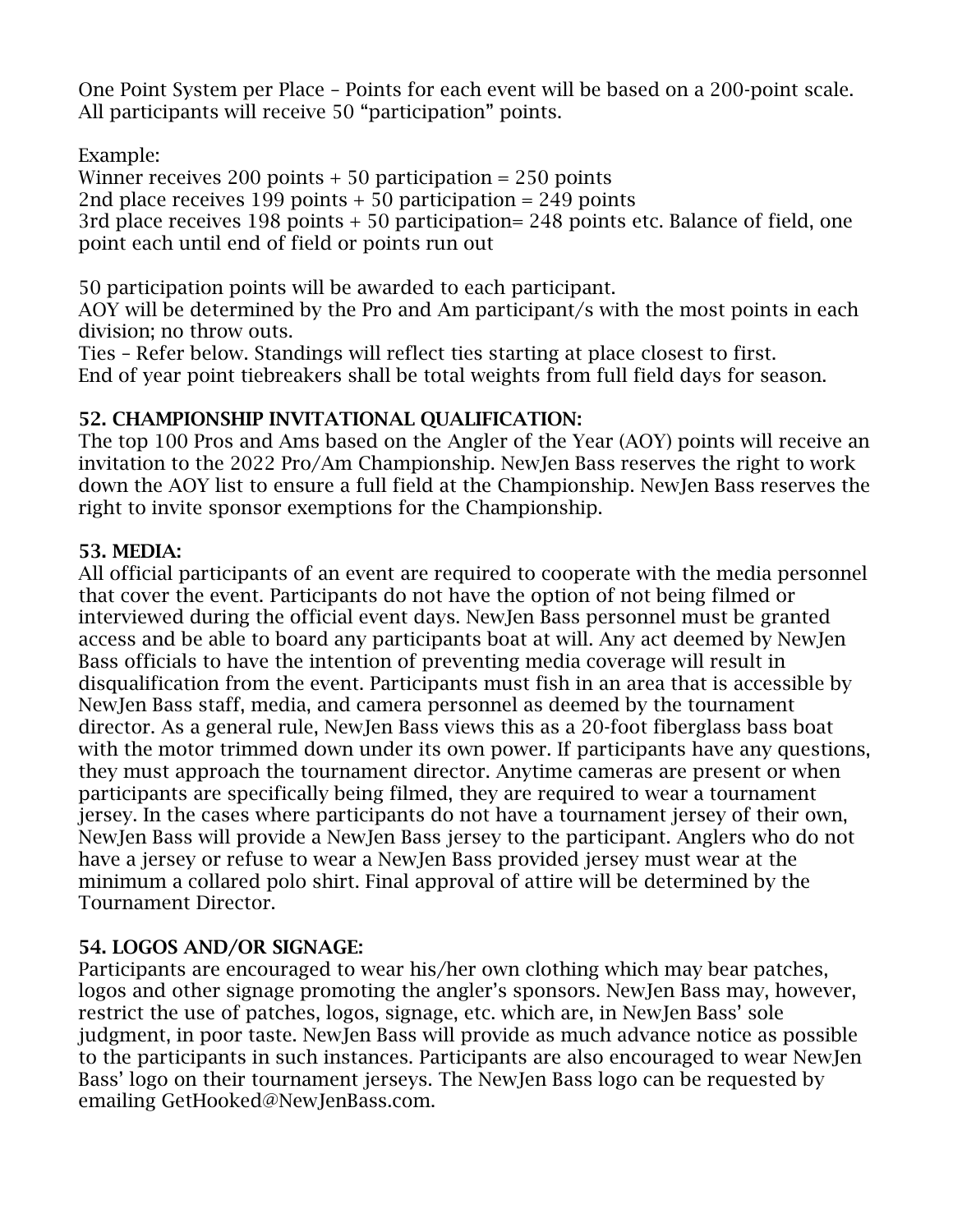One Point System per Place – Points for each event will be based on a 200-point scale. All participants will receive 50 "participation" points.

Example:

Winner receives 200 points  $+50$  participation = 250 points 2nd place receives 199 points + 50 participation = 249 points 3rd place receives 198 points + 50 participation= 248 points etc. Balance of field, one point each until end of field or points run out

50 participation points will be awarded to each participant.

AOY will be determined by the Pro and Am participant/s with the most points in each division; no throw outs.

Ties – Refer below. Standings will reflect ties starting at place closest to first. End of year point tiebreakers shall be total weights from full field days for season.

# 52. CHAMPIONSHIP INVITATIONAL QUALIFICATION:

The top 100 Pros and Ams based on the Angler of the Year (AOY) points will receive an invitation to the 2022 Pro/Am Championship. NewJen Bass reserves the right to work down the AOY list to ensure a full field at the Championship. NewJen Bass reserves the right to invite sponsor exemptions for the Championship.

## 53. MEDIA:

All official participants of an event are required to cooperate with the media personnel that cover the event. Participants do not have the option of not being filmed or interviewed during the official event days. NewJen Bass personnel must be granted access and be able to board any participants boat at will. Any act deemed by NewJen Bass officials to have the intention of preventing media coverage will result in disqualification from the event. Participants must fish in an area that is accessible by NewJen Bass staff, media, and camera personnel as deemed by the tournament director. As a general rule, NewJen Bass views this as a 20-foot fiberglass bass boat with the motor trimmed down under its own power. If participants have any questions, they must approach the tournament director. Anytime cameras are present or when participants are specifically being filmed, they are required to wear a tournament jersey. In the cases where participants do not have a tournament jersey of their own, NewJen Bass will provide a NewJen Bass jersey to the participant. Anglers who do not have a jersey or refuse to wear a NewJen Bass provided jersey must wear at the minimum a collared polo shirt. Final approval of attire will be determined by the Tournament Director.

# 54. LOGOS AND/OR SIGNAGE:

Participants are encouraged to wear his/her own clothing which may bear patches, logos and other signage promoting the angler's sponsors. NewJen Bass may, however, restrict the use of patches, logos, signage, etc. which are, in NewJen Bass' sole judgment, in poor taste. NewJen Bass will provide as much advance notice as possible to the participants in such instances. Participants are also encouraged to wear NewJen Bass' logo on their tournament jerseys. The NewJen Bass logo can be requested by emailing GetHooked@NewJenBass.com.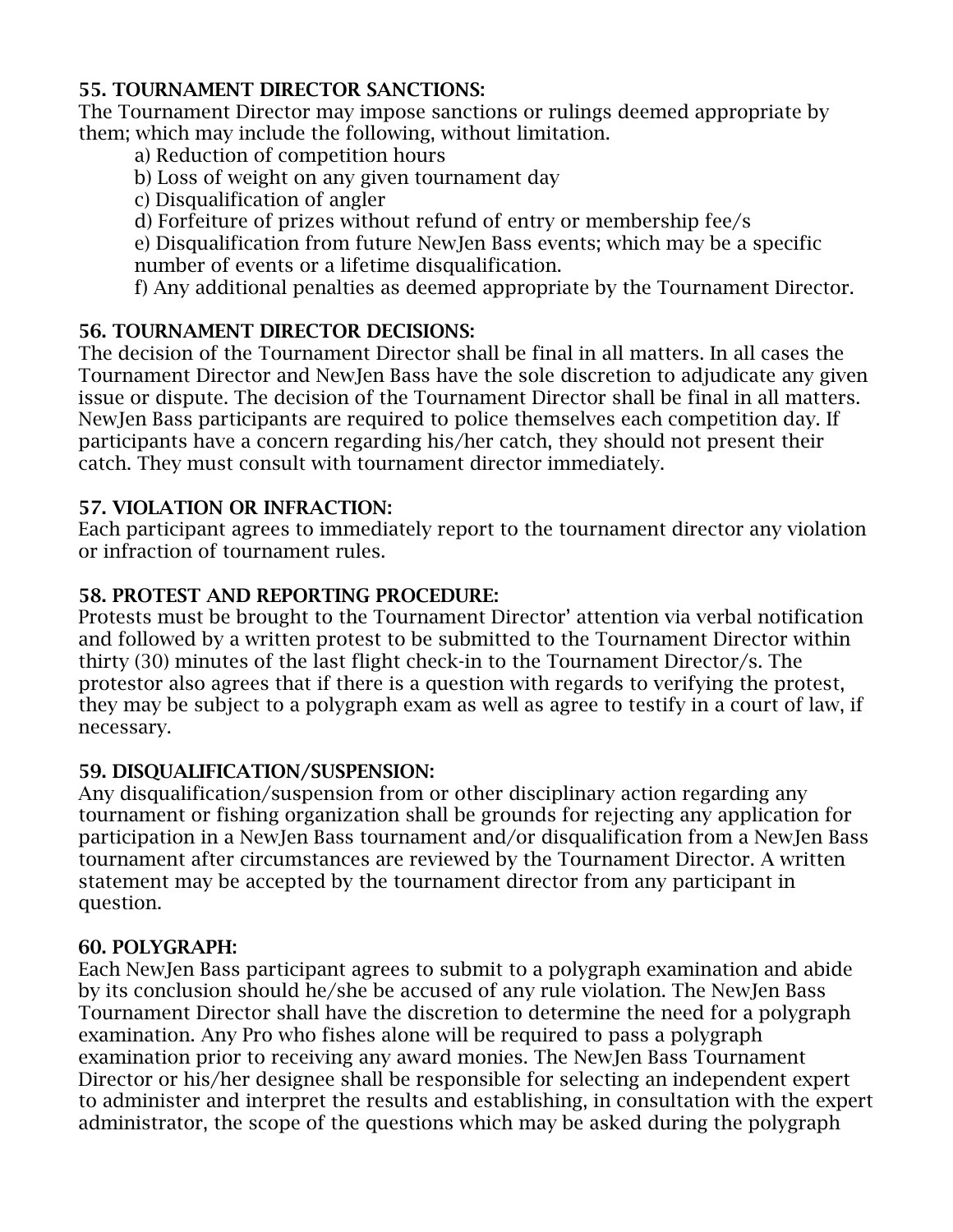#### 55. TOURNAMENT DIRECTOR SANCTIONS:

The Tournament Director may impose sanctions or rulings deemed appropriate by them; which may include the following, without limitation.

- a) Reduction of competition hours
- b) Loss of weight on any given tournament day
- c) Disqualification of angler

d) Forfeiture of prizes without refund of entry or membership fee/s

e) Disqualification from future NewJen Bass events; which may be a specific number of events or a lifetime disqualification.

f) Any additional penalties as deemed appropriate by the Tournament Director.

# 56. TOURNAMENT DIRECTOR DECISIONS:

The decision of the Tournament Director shall be final in all matters. In all cases the Tournament Director and NewJen Bass have the sole discretion to adjudicate any given issue or dispute. The decision of the Tournament Director shall be final in all matters. NewJen Bass participants are required to police themselves each competition day. If participants have a concern regarding his/her catch, they should not present their catch. They must consult with tournament director immediately.

## 57. VIOLATION OR INFRACTION:

Each participant agrees to immediately report to the tournament director any violation or infraction of tournament rules.

## 58. PROTEST AND REPORTING PROCEDURE:

Protests must be brought to the Tournament Director' attention via verbal notification and followed by a written protest to be submitted to the Tournament Director within thirty (30) minutes of the last flight check-in to the Tournament Director/s. The protestor also agrees that if there is a question with regards to verifying the protest, they may be subject to a polygraph exam as well as agree to testify in a court of law, if necessary.

## 59. DISQUALIFICATION/SUSPENSION:

Any disqualification/suspension from or other disciplinary action regarding any tournament or fishing organization shall be grounds for rejecting any application for participation in a NewJen Bass tournament and/or disqualification from a NewJen Bass tournament after circumstances are reviewed by the Tournament Director. A written statement may be accepted by the tournament director from any participant in question.

## 60. POLYGRAPH:

Each NewJen Bass participant agrees to submit to a polygraph examination and abide by its conclusion should he/she be accused of any rule violation. The NewJen Bass Tournament Director shall have the discretion to determine the need for a polygraph examination. Any Pro who fishes alone will be required to pass a polygraph examination prior to receiving any award monies. The NewJen Bass Tournament Director or his/her designee shall be responsible for selecting an independent expert to administer and interpret the results and establishing, in consultation with the expert administrator, the scope of the questions which may be asked during the polygraph